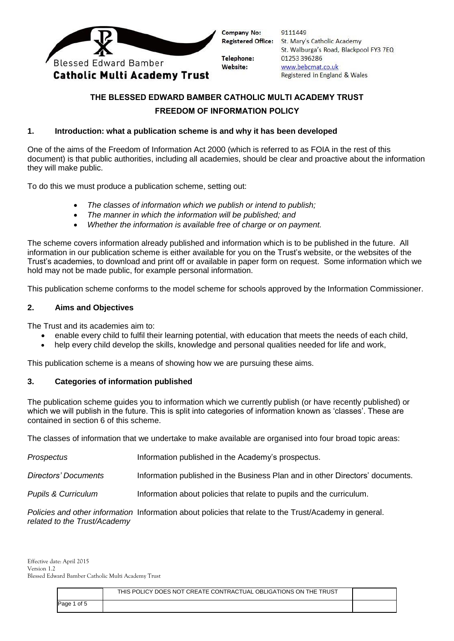

Company No: **Registered Office:** 

Telephone: Website:

9111449 St. Mary's Catholic Academy St. Walburga's Road, Blackpool FY3 7EQ 01253396286 www.bebcmat.co.uk Registered in England & Wales

# **THE BLESSED EDWARD BAMBER CATHOLIC MULTI ACADEMY TRUST FREEDOM OF INFORMATION POLICY**

# **1. Introduction: what a publication scheme is and why it has been developed**

One of the aims of the Freedom of Information Act 2000 (which is referred to as FOIA in the rest of this document) is that public authorities, including all academies, should be clear and proactive about the information they will make public.

To do this we must produce a publication scheme, setting out:

- *The classes of information which we publish or intend to publish;*
- *The manner in which the information will be published; and*
- *Whether the information is available free of charge or on payment.*

The scheme covers information already published and information which is to be published in the future. All information in our publication scheme is either available for you on the Trust's website, or the websites of the Trust's academies, to download and print off or available in paper form on request. Some information which we hold may not be made public, for example personal information.

This publication scheme conforms to the model scheme for schools approved by the Information Commissioner.

# **2. Aims and Objectives**

The Trust and its academies aim to:

- enable every child to fulfil their learning potential, with education that meets the needs of each child,
- help every child develop the skills, knowledge and personal qualities needed for life and work,

This publication scheme is a means of showing how we are pursuing these aims.

# **3. Categories of information published**

The publication scheme guides you to information which we currently publish (or have recently published) or which we will publish in the future. This is split into categories of information known as 'classes'. These are contained in section 6 of this scheme.

The classes of information that we undertake to make available are organised into four broad topic areas:

| Prospectus                     | Information published in the Academy's prospectus.                                                     |
|--------------------------------|--------------------------------------------------------------------------------------------------------|
| Directors' Documents           | Information published in the Business Plan and in other Directors' documents.                          |
| <b>Pupils &amp; Curriculum</b> | Information about policies that relate to pupils and the curriculum.                                   |
|                                | Policies and other information Information about policies that relate to the Trust/Academy in general. |

*related to the Trust/Academy*

|             | THIS POLICY DOES NOT CREATE CONTRACTUAL OBLIGATIONS ON THE TRUST |  |
|-------------|------------------------------------------------------------------|--|
| Page 1 of 5 |                                                                  |  |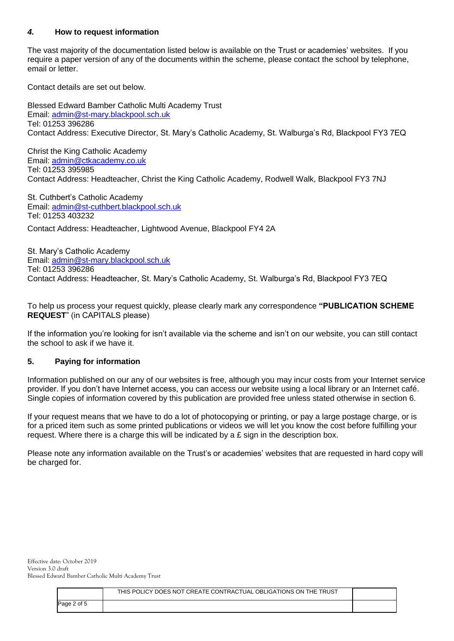#### *4.* **How to request information**

The vast majority of the documentation listed below is available on the Trust or academies' websites. If you require a paper version of any of the documents within the scheme, please contact the school by telephone, email or letter.

Contact details are set out below.

Blessed Edward Bamber Catholic Multi Academy Trust Email: [admin@st-mary.blackpool.sch.uk](mailto:admin@st-mary.blackpool.sch.uk) Tel: 01253 396286 Contact Address: Executive Director, St. Mary's Catholic Academy, St. Walburga's Rd, Blackpool FY3 7EQ

Christ the King Catholic Academy Email: [admin@ctkacademy.co.uk](mailto:admin@ctkacademy.co.uk) Tel: 01253 395985 Contact Address: Headteacher, Christ the King Catholic Academy, Rodwell Walk, Blackpool FY3 7NJ

St. Cuthbert's Catholic Academy Email: [admin@st-cuthbert.blackpool.sch.uk](mailto:admin@st-cuthbert.blackpool.sch.uk) Tel: 01253 403232

Contact Address: Headteacher, Lightwood Avenue, Blackpool FY4 2A

St. Mary's Catholic Academy Email: [admin@st-mary.blackpool.sch.uk](mailto:admin@st-mary.blackpool.sch.uk) Tel: 01253 396286 Contact Address: Headteacher, St. Mary's Catholic Academy, St. Walburga's Rd, Blackpool FY3 7EQ

To help us process your request quickly, please clearly mark any correspondence **"PUBLICATION SCHEME REQUEST**" (in CAPITALS please)

If the information you're looking for isn't available via the scheme and isn't on our website, you can still contact the school to ask if we have it.

#### **5. Paying for information**

Information published on our any of our websites is free, although you may incur costs from your Internet service provider. If you don't have Internet access, you can access our website using a local library or an Internet café. Single copies of information covered by this publication are provided free unless stated otherwise in section 6.

If your request means that we have to do a lot of photocopying or printing, or pay a large postage charge, or is for a priced item such as some printed publications or videos we will let you know the cost before fulfilling your request. Where there is a charge this will be indicated by a £ sign in the description box.

Please note any information available on the Trust's or academies' websites that are requested in hard copy will be charged for.

|             | THIS POLICY DOES NOT CREATE CONTRACTUAL OBLIGATIONS ON THE TRUST |  |
|-------------|------------------------------------------------------------------|--|
| Page 2 of 5 |                                                                  |  |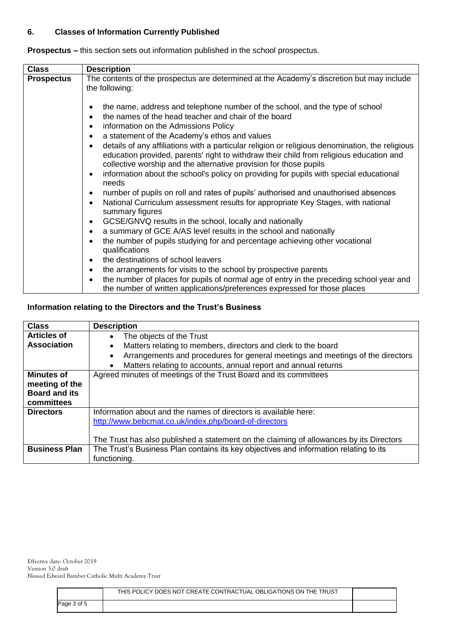#### **6. Classes of Information Currently Published**

| <b>Class</b>      | <b>Description</b>                                                                                                                                                                                                                                                                                                                                                                                                                                                                                                                                                                                                                             |  |  |
|-------------------|------------------------------------------------------------------------------------------------------------------------------------------------------------------------------------------------------------------------------------------------------------------------------------------------------------------------------------------------------------------------------------------------------------------------------------------------------------------------------------------------------------------------------------------------------------------------------------------------------------------------------------------------|--|--|
| <b>Prospectus</b> | The contents of the prospectus are determined at the Academy's discretion but may include<br>the following:                                                                                                                                                                                                                                                                                                                                                                                                                                                                                                                                    |  |  |
|                   |                                                                                                                                                                                                                                                                                                                                                                                                                                                                                                                                                                                                                                                |  |  |
|                   | the name, address and telephone number of the school, and the type of school<br>the names of the head teacher and chair of the board<br>information on the Admissions Policy<br>$\bullet$<br>a statement of the Academy's ethos and values<br>$\bullet$<br>details of any affiliations with a particular religion or religious denomination, the religious<br>$\bullet$<br>education provided, parents' right to withdraw their child from religious education and<br>collective worship and the alternative provision for those pupils<br>information about the school's policy on providing for pupils with special educational<br>$\bullet$ |  |  |
|                   | needs                                                                                                                                                                                                                                                                                                                                                                                                                                                                                                                                                                                                                                          |  |  |
|                   | number of pupils on roll and rates of pupils' authorised and unauthorised absences                                                                                                                                                                                                                                                                                                                                                                                                                                                                                                                                                             |  |  |
|                   | National Curriculum assessment results for appropriate Key Stages, with national<br>summary figures                                                                                                                                                                                                                                                                                                                                                                                                                                                                                                                                            |  |  |
|                   | GCSE/GNVQ results in the school, locally and nationally                                                                                                                                                                                                                                                                                                                                                                                                                                                                                                                                                                                        |  |  |
|                   | a summary of GCE A/AS level results in the school and nationally<br>$\bullet$                                                                                                                                                                                                                                                                                                                                                                                                                                                                                                                                                                  |  |  |
|                   | the number of pupils studying for and percentage achieving other vocational<br>qualifications                                                                                                                                                                                                                                                                                                                                                                                                                                                                                                                                                  |  |  |
|                   | the destinations of school leavers                                                                                                                                                                                                                                                                                                                                                                                                                                                                                                                                                                                                             |  |  |
|                   | the arrangements for visits to the school by prospective parents<br>$\bullet$                                                                                                                                                                                                                                                                                                                                                                                                                                                                                                                                                                  |  |  |
|                   | the number of places for pupils of normal age of entry in the preceding school year and<br>the number of written applications/preferences expressed for those places                                                                                                                                                                                                                                                                                                                                                                                                                                                                           |  |  |

**Prospectus –** this section sets out information published in the school prospectus.

# **Information relating to the Directors and the Trust's Business**

| <b>Class</b>         | <b>Description</b>                                                                          |
|----------------------|---------------------------------------------------------------------------------------------|
| <b>Articles of</b>   | The objects of the Trust<br>$\bullet$                                                       |
| <b>Association</b>   | Matters relating to members, directors and clerk to the board                               |
|                      | Arrangements and procedures for general meetings and meetings of the directors<br>$\bullet$ |
|                      | Matters relating to accounts, annual report and annual returns<br>$\bullet$                 |
| <b>Minutes of</b>    | Agreed minutes of meetings of the Trust Board and its committees                            |
| meeting of the       |                                                                                             |
| <b>Board and its</b> |                                                                                             |
| committees           |                                                                                             |
| <b>Directors</b>     | Information about and the names of directors is available here:                             |
|                      | http://www.bebcmat.co.uk/index.php/board-of-directors                                       |
|                      |                                                                                             |
|                      | The Trust has also published a statement on the claiming of allowances by its Directors     |
| <b>Business Plan</b> | The Trust's Business Plan contains its key objectives and information relating to its       |
|                      | functioning.                                                                                |

Effective date: October 2019 Version 3.0 draft Blessed Edward Bamber Catholic Multi Academy Trust

|             | THIS POLICY DOES NOT CREATE CONTRACTUAL OBLIGATIONS ON THE TRUST |  |
|-------------|------------------------------------------------------------------|--|
| Page 3 of 5 |                                                                  |  |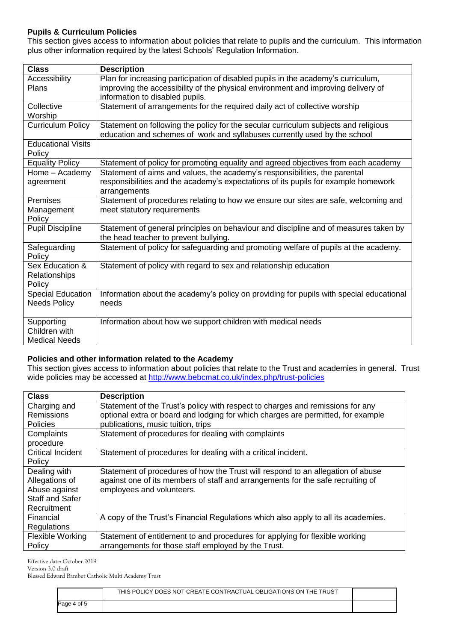#### **Pupils & Curriculum Policies**

This section gives access to information about policies that relate to pupils and the curriculum. This information plus other information required by the latest Schools' Regulation Information.

| <b>Class</b>              | <b>Description</b>                                                                                                            |
|---------------------------|-------------------------------------------------------------------------------------------------------------------------------|
| Accessibility             | Plan for increasing participation of disabled pupils in the academy's curriculum,                                             |
| Plans                     | improving the accessibility of the physical environment and improving delivery of                                             |
|                           | information to disabled pupils.                                                                                               |
| Collective                | Statement of arrangements for the required daily act of collective worship                                                    |
| Worship                   |                                                                                                                               |
| <b>Curriculum Policy</b>  | Statement on following the policy for the secular curriculum subjects and religious                                           |
|                           | education and schemes of work and syllabuses currently used by the school                                                     |
| <b>Educational Visits</b> |                                                                                                                               |
| Policy                    |                                                                                                                               |
| <b>Equality Policy</b>    | Statement of policy for promoting equality and agreed objectives from each academy                                            |
| Home - Academy            | Statement of aims and values, the academy's responsibilities, the parental                                                    |
| agreement                 | responsibilities and the academy's expectations of its pupils for example homework                                            |
|                           | arrangements                                                                                                                  |
| <b>Premises</b>           | Statement of procedures relating to how we ensure our sites are safe, welcoming and                                           |
| Management                | meet statutory requirements                                                                                                   |
| Policy                    |                                                                                                                               |
| <b>Pupil Discipline</b>   | Statement of general principles on behaviour and discipline and of measures taken by<br>the head teacher to prevent bullying. |
| Safeguarding              | Statement of policy for safeguarding and promoting welfare of pupils at the academy.                                          |
| Policy                    |                                                                                                                               |
| Sex Education &           | Statement of policy with regard to sex and relationship education                                                             |
| Relationships             |                                                                                                                               |
| Policy                    |                                                                                                                               |
| Special Education         | Information about the academy's policy on providing for pupils with special educational                                       |
| <b>Needs Policy</b>       | needs                                                                                                                         |
| Supporting                | Information about how we support children with medical needs                                                                  |
| Children with             |                                                                                                                               |
| <b>Medical Needs</b>      |                                                                                                                               |

#### **Policies and other information related to the Academy**

This section gives access to information about policies that relate to the Trust and academies in general. Trust wide policies may be accessed at<http://www.bebcmat.co.uk/index.php/trust-policies>

| <b>Class</b>                                                                             | <b>Description</b>                                                                                                                                                                                       |
|------------------------------------------------------------------------------------------|----------------------------------------------------------------------------------------------------------------------------------------------------------------------------------------------------------|
| Charging and<br>Remissions<br><b>Policies</b>                                            | Statement of the Trust's policy with respect to charges and remissions for any<br>optional extra or board and lodging for which charges are permitted, for example<br>publications, music tuition, trips |
| Complaints<br>procedure                                                                  | Statement of procedures for dealing with complaints                                                                                                                                                      |
| <b>Critical Incident</b><br>Policy                                                       | Statement of procedures for dealing with a critical incident.                                                                                                                                            |
| Dealing with<br>Allegations of<br>Abuse against<br><b>Staff and Safer</b><br>Recruitment | Statement of procedures of how the Trust will respond to an allegation of abuse<br>against one of its members of staff and arrangements for the safe recruiting of<br>employees and volunteers.          |
| Financial<br>Regulations                                                                 | A copy of the Trust's Financial Regulations which also apply to all its academies.                                                                                                                       |
| Flexible Working<br>Policy                                                               | Statement of entitlement to and procedures for applying for flexible working<br>arrangements for those staff employed by the Trust.                                                                      |

Effective date: October 2019

Version 3.0 draft

Blessed Edward Bamber Catholic Multi Academy Trust

|             | THIS POLICY DOES NOT CREATE CONTRACTUAL OBLIGATIONS ON THE TRUST |  |
|-------------|------------------------------------------------------------------|--|
| Page 4 of 5 |                                                                  |  |